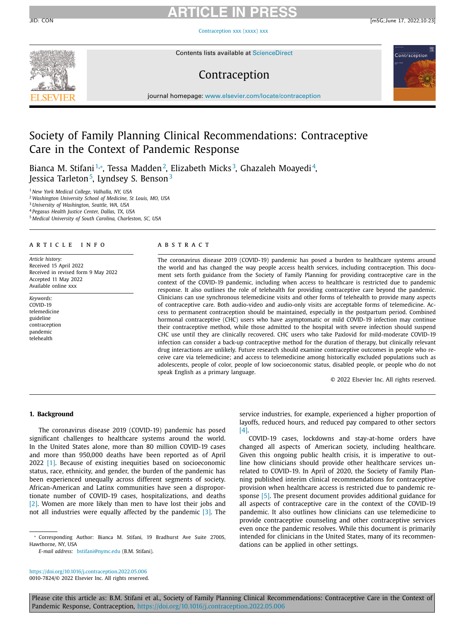# **ARTICLE IN PRESS**

Contraception

[Contraception](https://doi.org/10.1016/j.contraception.2022.05.006) xxx (xxxx) xxx



Contents lists available at [ScienceDirect](http://www.ScienceDirect.com)

# Contraception

journal homepage: [www.elsevier.com/locate/contraception](http://www.elsevier.com/locate/contraception)

# Society of Family Planning Clinical Recommendations: Contraceptive Care in the Context of Pandemic Response

Bianca M. Stifani <sup>1,</sup>\*, Tessa Madden<sup>2</sup>, Elizabeth Micks<sup>3</sup>, Ghazaleh Moayedi <sup>4</sup>, Jessica Tarleton<sup>5</sup>, Lyndsey S. Benson<sup>3</sup>

<sup>1</sup> *New York Medical College, Valhalla, NY, USA*

<sup>2</sup> *Washington University School of Medicine, St Louis, MO, USA*

<sup>3</sup> *University of Washington, Seattle, WA, USA*

<sup>4</sup> *Pegasus Health Justice Center, Dallas, TX, USA*

<sup>5</sup> *Medical University of South Carolina, Charleston, SC, USA*

### ARTICLE INFO

*Article history:* Received 15 April 2022 Received in revised form 9 May 2022 Accepted 11 May 2022 Available online xxx

*Keywords:* COVID-19 telemedicine guideline contraception pandemic telehealth

### A B S T R A C T

The coronavirus disease 2019 (COVID-19) pandemic has posed a burden to healthcare systems around the world and has changed the way people access health services, including contraception. This document sets forth guidance from the Society of Family Planning for providing contraceptive care in the context of the COVID-19 pandemic, including when access to healthcare is restricted due to pandemic response. It also outlines the role of telehealth for providing contraceptive care beyond the pandemic. Clinicians can use synchronous telemedicine visits and other forms of telehealth to provide many aspects of contraceptive care. Both audio-video and audio-only visits are acceptable forms of telemedicine. Access to permanent contraception should be maintained, especially in the postpartum period. Combined hormonal contraceptive (CHC) users who have asymptomatic or mild COVID-19 infection may continue their contraceptive method, while those admitted to the hospital with severe infection should suspend CHC use until they are clinically recovered. CHC users who take Paxlovid for mild-moderate COVID-19 infection can consider a back-up contraceptive method for the duration of therapy, but clinically relevant drug interactions are unlikely. Future research should examine contraceptive outcomes in people who receive care via telemedicine; and access to telemedicine among historically excluded populations such as adolescents, people of color, people of low socioeconomic status, disabled people, or people who do not speak English as a primary language.

© 2022 Elsevier Inc. All rights reserved.

### **1. Background**

The coronavirus disease 2019 (COVID-19) pandemic has posed significant challenges to healthcare systems around the world. In the United States alone, more than 80 million COVID-19 cases and more than 950,000 deaths have been reported as of April 2022 [\[1\].](#page-8-0) Because of existing inequities based on socioeconomic status, race, ethnicity, and gender, the burden of the pandemic has been experienced unequally across different segments of society. African-American and Latinx communities have seen a disproportionate number of COVID-19 cases, hospitalizations, and deaths [\[2\].](#page-8-0) Women are more likely than men to have lost their jobs and not all industries were equally affected by the pandemic [\[3\].](#page-8-0) The

*E-mail address:* [bstifani@nymc.edu](mailto:bstifani@nymc.edu) (B.M. Stifani).

<https://doi.org/10.1016/j.contraception.2022.05.006> 0010-7824/© 2022 Elsevier Inc. All rights reserved. service industries, for example, experienced a higher proportion of layoffs, reduced hours, and reduced pay compared to other sectors [\[4\].](#page-8-0)

COVID-19 cases, lockdowns and stay-at-home orders have changed all aspects of American society, including healthcare. Given this ongoing public health crisis, it is imperative to outline how clinicians should provide other healthcare services unrelated to COVID-19. In April of 2020, the Society of Family Planning published interim clinical recommendations for contraceptive provision when healthcare access is restricted due to pandemic response [\[5\].](#page-8-0) The present document provides additional guidance for all aspects of contraceptive care in the context of the COVID-19 pandemic. It also outlines how clinicians can use telemedicine to provide contraceptive counseling and other contraceptive services even once the pandemic resolves. While this document is primarily intended for clinicians in the United States, many of its recommendations can be applied in other settings.

Please cite this article as: B.M. Stifani et al., Society of Family Planning Clinical Recommendations: Contraceptive Care in the Context of Pandemic Response, Contraception, <https://doi.org/10.1016/j.contraception.2022.05.006>

<sup>∗</sup> Corresponding Author: Bianca M. Stifani, 19 Bradhurst Ave Suite 2700S, Hawthorne, NY, USA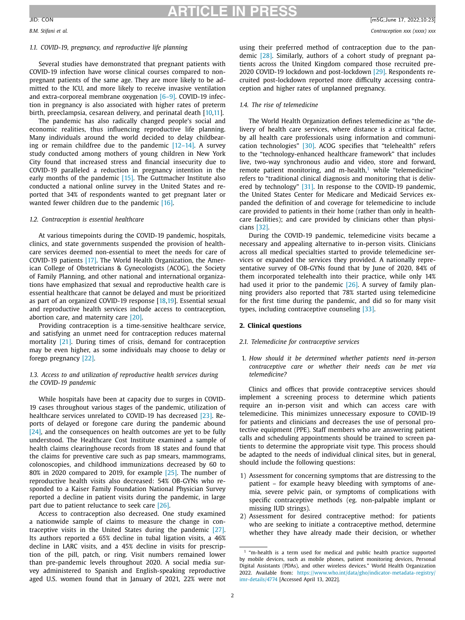# **ARTICLE IN PRESS**

# *1.1. COVID-19, pregnancy, and reproductive life planning*

Several studies have demonstrated that pregnant patients with COVID-19 infection have worse clinical courses compared to nonpregnant patients of the same age. They are more likely to be admitted to the ICU, and more likely to receive invasive ventilation and extra-corporeal membrane oxygenation [\[6–9\].](#page-8-0) COVID-19 infection in pregnancy is also associated with higher rates of preterm birth, preeclampsia, cesarean delivery, and perinatal death [\[10,11\]](#page-8-0).

The pandemic has also radically changed people's social and economic realities, thus influencing reproductive life planning. Many individuals around the world decided to delay childbearing or remain childfree due to the pandemic  $[12-14]$ . A survey study conducted among mothers of young children in New York City found that increased stress and financial insecurity due to COVID-19 paralleled a reduction in pregnancy intention in the early months of the pandemic [\[15\].](#page-8-0) The Guttmacher Institute also conducted a national online survey in the United States and reported that 34% of respondents wanted to get pregnant later or wanted fewer children due to the pandemic [\[16\].](#page-8-0)

### *1.2. Contraception is essential healthcare*

At various timepoints during the COVID-19 pandemic, hospitals, clinics, and state governments suspended the provision of healthcare services deemed non-essential to meet the needs for care of COVID-19 patients [\[17\].](#page-8-0) The World Health Organization, the American College of Obstetricians & Gynecologists (ACOG), the Society of Family Planning, and other national and international organizations have emphasized that sexual and reproductive health care is essential healthcare that cannot be delayed and must be prioritized as part of an organized COVID-19 response [\[18,19\]](#page-9-0). Essential sexual and reproductive health services include access to contraception, abortion care, and maternity care [\[20\].](#page-9-0)

Providing contraception is a time-sensitive healthcare service, and satisfying an unmet need for contraception reduces maternal mortality [\[21\].](#page-9-0) During times of crisis, demand for contraception may be even higher, as some individuals may choose to delay or forego pregnancy [\[22\].](#page-9-0)

### *1.3. Access to and utilization of reproductive health services during the COVID-19 pandemic*

While hospitals have been at capacity due to surges in COVID-19 cases throughout various stages of the pandemic, utilization of healthcare services unrelated to COVID-19 has decreased [\[23\].](#page-9-0) Reports of delayed or foregone care during the pandemic abound [\[24\],](#page-9-0) and the consequences on health outcomes are yet to be fully understood. The Healthcare Cost Institute examined a sample of health claims clearinghouse records from 18 states and found that the claims for preventive care such as pap smears, mammograms, colonoscopies, and childhood immunizations decreased by 60 to 80% in 2020 compared to 2019, for example [\[25\].](#page-9-0) The number of reproductive health visits also decreased: 54% OB-GYNs who responded to a Kaiser Family Foundation National Physician Survey reported a decline in patient visits during the pandemic, in large part due to patient reluctance to seek care [\[26\].](#page-9-0)

Access to contraception also decreased. One study examined a nationwide sample of claims to measure the change in contraceptive visits in the United States during the pandemic [\[27\].](#page-9-0) Its authors reported a 65% decline in tubal ligation visits, a 46% decline in LARC visits, and a 45% decline in visits for prescription of the pill, patch, or ring. Visit numbers remained lower than pre-pandemic levels throughout 2020. A social media survey administered to Spanish and English-speaking reproductive aged U.S. women found that in January of 2021, 22% were not

using their preferred method of contraception due to the pandemic [\[28\].](#page-9-0) Similarly, authors of a cohort study of pregnant patients across the United Kingdom compared those recruited pre-2020 COVID-19 lockdown and post-lockdown [\[29\].](#page-9-0) Respondents recruited post-lockdown reported more difficulty accessing contraception and higher rates of unplanned pregnancy.

### *1.4. The rise of telemedicine*

The World Health Organization defines telemedicine as "the delivery of health care services, where distance is a critical factor, by all health care professionals using information and communication technologies" [\[30\].](#page-9-0) ACOG specifies that "telehealth" refers to the "technology-enhanced healthcare framework" that includes live, two-way synchronous audio and video, store and forward, remote patient monitoring, and m-health, $1$  while "telemedicine" refers to "traditional clinical diagnosis and monitoring that is delivered by technology" [\[31\].](#page-9-0) In response to the COVID-19 pandemic, the United States Center for Medicare and Medicaid Services expanded the definition of and coverage for telemedicine to include care provided to patients in their home (rather than only in healthcare facilities); and care provided by clinicians other than physicians [\[32\].](#page-9-0)

During the COVID-19 pandemic, telemedicine visits became a necessary and appealing alternative to in-person visits. Clinicians across all medical specialties started to provide telemedicine services or expanded the services they provided. A nationally representative survey of OB-GYNs found that by June of 2020, 84% of them incorporated telehealth into their practice, while only 14% had used it prior to the pandemic [\[26\].](#page-9-0) A survey of family planning providers also reported that 78% started using telemedicine for the first time during the pandemic, and did so for many visit types, including contraceptive counseling [\[33\].](#page-9-0)

### **2. Clinical questions**

### *2.1. Telemedicine for contraceptive services*

1. *How should it be determined whether patients need in-person contraceptive care or whether their needs can be met via telemedicine?*

Clinics and offices that provide contraceptive services should implement a screening process to determine which patients require an in-person visit and which can access care with telemedicine. This minimizes unnecessary exposure to COVID-19 for patients and clinicians and decreases the use of personal protective equipment (PPE). Staff members who are answering patient calls and scheduling appointments should be trained to screen patients to determine the appropriate visit type. This process should be adapted to the needs of individual clinical sites, but in general, should include the following questions:

- 1) Assessment for concerning symptoms that are distressing to the patient – for example heavy bleeding with symptoms of anemia, severe pelvic pain, or symptoms of complications with specific contraceptive methods (eg. non-palpable implant or missing IUD strings).
- 2) Assessment for desired contraceptive method: for patients who are seeking to initiate a contraceptive method, determine whether they have already made their decision, or whether

<sup>&</sup>lt;sup>1</sup> "m-health is a term used for medical and public health practice supported by mobile devices, such as mobile phones, patient monitoring devices, Personal Digital Assistants (PDAs), and other wireless devices." World Health Organization 2022. Available from: [https://www.who.int/data/gho/indicator-metadata-registry/](https://www.who.int/data/gho/indicator-metadata-registry/imr-details/4774) imr-details/4774 [Accessed April 13, 2022].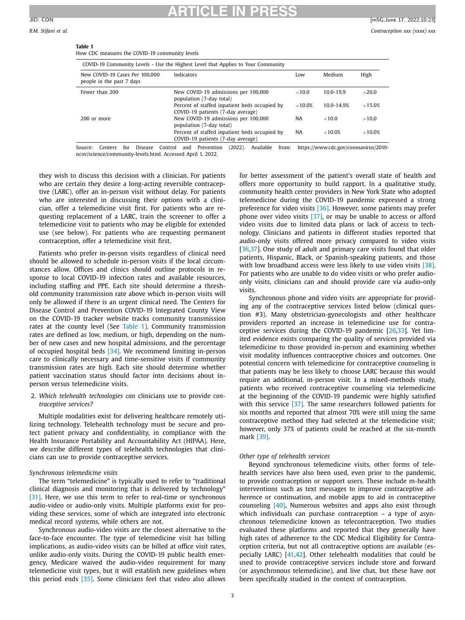**Table 1**

# **ARTICLE IN PRESS**

 $>20.0$ 

| Table 1<br>How CDC measures the COVID-19 community levels                        |                                                                 |          |               |      |  |  |
|----------------------------------------------------------------------------------|-----------------------------------------------------------------|----------|---------------|------|--|--|
| COVID-19 Community Levels - Use the Highest Level that Applies to Your Community |                                                                 |          |               |      |  |  |
| New COVID-19 Cases Per 100,000<br>people in the past 7 days                      | Indicators                                                      | Low      | Medium        | High |  |  |
| Fewer than 200                                                                   | New COVID-19 admissions per 100,000<br>population (7-day total) | ${10.0}$ | $10.0 - 19.9$ | >20  |  |  |

Percent of staffed inpatient beds occupied by COVID-19 patients (7-day average)

population (7-day total) Percent of staffed inpatient beds occupied by COVID-19 patients (7-day average) Source: Centers for Disease Control and Prevention (2022). Available from: https://www.cdc.gov/coronavirus/2019-

200 or more New COVID-19 admissions per 100,000

ncov/science/community-levels.html. Accessed April 1, 2022.

they wish to discuss this decision with a clinician. For patients who are certain they desire a long-acting reversible contraceptive (LARC), offer an in-person visit without delay. For patients who are interested in discussing their options with a clinician, offer a telemedicine visit first. For patients who are requesting replacement of a LARC, train the screener to offer a telemedicine visit to patients who may be eligible for extended use (see below). For patients who are requesting permanent contraception, offer a telemedicine visit first.

Patients who prefer in-person visits regardless of clinical need should be allowed to schedule in-person visits if the local circumstances allow. Offices and clinics should outline protocols in response to local COVID-19 infection rates and available resources, including staffing and PPE. Each site should determine a threshold community transmission rate above which in-person visits will only be allowed if there is an urgent clinical need. The Centers for Disease Control and Prevention COVID-19 Integrated County View on the COVID-19 tracker website tracks community transmission rates at the county level (See Table 1). Community transmission rates are defined as low, medium, or high, depending on the number of new cases and new hospital admissions, and the percentage of occupied hospital beds [\[34\].](#page-9-0) We recommend limiting in-person care to clinically necessary and time-sensitive visits if community transmission rates are high. Each site should determine whether patient vaccination status should factor into decisions about inperson versus telemedicine visits.

2. *Which telehealth technologies can* clinicians use to provide *contraceptive services?*

Multiple modalities exist for delivering healthcare remotely utilizing technology. Telehealth technology must be secure and protect patient privacy and confidentiality, in compliance with the Health Insurance Portability and Accountability Act (HIPAA). Here, we describe different types of telehealth technologies that clinicians can use to provide contraceptive services.

# *Synchronous telemedicine visits*

The term "telemedicine" is typically used to refer to "traditional clinical diagnosis and monitoring that is delivered by technology" [\[31\].](#page-9-0) Here, we use this term to refer to real-time or synchronous audio-video or audio-only visits. Multiple platforms exist for providing these services, some of which are integrated into electronic medical record systems, while others are not.

Synchronous audio-video visits are the closest alternative to the face-to-face encounter. The type of telemedicine visit has billing implications, as audio-video visits can be billed at office visit rates, unlike audio-only visits. During the COVID-19 public health emergency, Medicare waived the audio-video requirement for many telemedicine visit types, but it will establish new guidelines when this period ends [\[35\].](#page-9-0) Some clinicians feel that video also allows for better assessment of the patient's overall state of health and offers more opportunity to build rapport. In a qualitative study, community health center providers in New York State who adopted telemedicine during the COVID-19 pandemic expressed a strong preference for video visits [\[36\].](#page-9-0) However, some patients may prefer phone over video visits [\[37\],](#page-9-0) or may be unable to access or afford video visits due to limited data plans or lack of access to technology. Clinicians and patients in different studies reported that audio-only visits offered more privacy compared to video visits [\[36,37\]](#page-9-0). One study of adult and primary care visits found that older patients, Hispanic, Black, or Spanish-speaking patients, and those with low broadband access were less likely to use video visits [\[38\].](#page-9-0) For patients who are unable to do video visits or who prefer audioonly visits, clinicians can and should provide care via audio-only visits.

 $<10.0\%$  10.0-14.9%  $>15.0\%$ 

NA <10.0 >10.0

NA <10.0% >10.0%

Synchronous phone and video visits are appropriate for providing any of the contraceptive services listed below (clinical question #3). Many obstetrician-gynecologists and other healthcare providers reported an increase in telemedicine use for contraceptive services during the COVID-19 pandemic [\[26,33\]](#page-9-0). Yet limited evidence exists comparing the quality of services provided via telemedicine to those provided in-person and examining whether visit modality influences contraceptive choices and outcomes. One potential concern with telemedicine for contraceptive counseling is that patients may be less likely to choose LARC because this would require an additional, in-person visit. In a mixed-methods study, patients who received contraceptive counseling via telemedicine at the beginning of the COVID-19 pandemic were highly satisfied with this service [\[37\].](#page-9-0) The same researchers followed patients for six months and reported that almost 70% were still using the same contraceptive method they had selected at the telemedicine visit; however, only 37% of patients could be reached at the six-month mark [\[39\].](#page-9-0)

# *Other type of telehealth services*

Beyond synchronous telemedicine visits, other forms of telehealth services have also been used, even prior to the pandemic, to provide contraception or support users. These include m-health interventions such as text messages to improve contraceptive adherence or continuation, and mobile apps to aid in contraceptive counseling [\[40\]](#page-9-0)**.** Numerous websites and apps also exist through which individuals can purchase contraception – a type of asynchronous telemedicine known as telecontraception. Two studies evaluated these platforms and reported that they generally have high rates of adherence to the CDC Medical Eligibility for Contraception criteria, but not all contraceptive options are available (especially LARC) [\[41,42\]](#page-9-0). Other telehealth modalities that could be used to provide contraceptive services include store and forward (or asynchronous telemedicine), and live chat, but these have not been specifically studied in the context of contraception.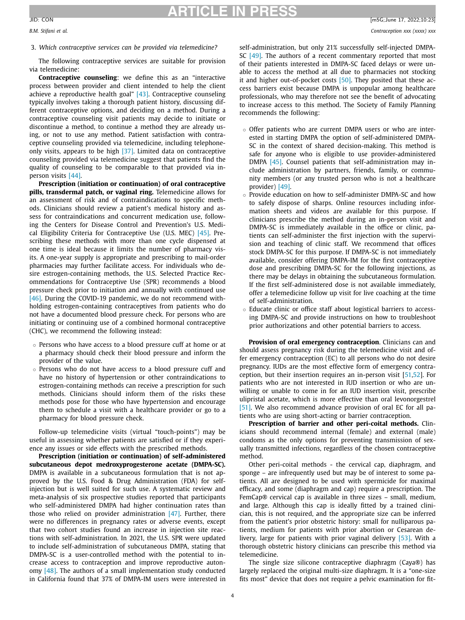3. *Which contraceptive services can be provided via telemedicine?*

The following contraceptive services are suitable for provision via telemedicine:

**Contraceptive counseling**: we define this as an "interactive process between provider and client intended to help the client achieve a reproductive health goal" [\[43\].](#page-9-0) Contraceptive counseling typically involves taking a thorough patient history, discussing different contraceptive options, and deciding on a method. During a contraceptive counseling visit patients may decide to initiate or discontinue a method, to continue a method they are already using, or not to use any method. Patient satisfaction with contraceptive counseling provided via telemedicine, including telephoneonly visits, appears to be high [\[37\].](#page-9-0) Limited data on contraceptive counseling provided via telemedicine suggest that patients find the quality of counseling to be comparable to that provided via inperson visits [\[44\].](#page-9-0)

**Prescription (initiation or continuation) of oral contraceptive pills, transdermal patch, or vaginal ring.** Telemedicine allows for an assessment of risk and of contraindications to specific methods. Clinicians should review a patient's medical history and assess for contraindications and concurrent medication use, following the Centers for Disease Control and Prevention's U.S. Medical Eligibility Criteria for Contraceptive Use (U.S. MEC) [\[45\].](#page-9-0) Prescribing these methods with more than one cycle dispensed at one time is ideal because it limits the number of pharmacy visits. A one-year supply is appropriate and prescribing to mail-order pharmacies may further facilitate access. For individuals who desire estrogen-containing methods, the U.S. Selected Practice Recommendations for Contraceptive Use (SPR) recommends a blood pressure check prior to initiation and annually with continued use [\[46\].](#page-9-0) During the COVID-19 pandemic, we do not recommend withholding estrogen-containing contraceptives from patients who do not have a documented blood pressure check. For persons who are initiating or continuing use of a combined hormonal contraceptive (CHC), we recommend the following instead:

- Persons who have access to a blood pressure cuff at home or at a pharmacy should check their blood pressure and inform the provider of the value.
- Persons who do not have access to a blood pressure cuff and have no history of hypertension or other contraindications to estrogen-containing methods can receive a prescription for such methods. Clinicians should inform them of the risks these methods pose for those who have hypertension and encourage them to schedule a visit with a healthcare provider or go to a pharmacy for blood pressure check.

Follow-up telemedicine visits (virtual "touch-points") may be useful in assessing whether patients are satisfied or if they experience any issues or side effects with the prescribed methods.

**Prescription (initiation or continuation) of self-administered subcutaneous depot medroxyprogesterone acetate (DMPA-SC).** DMPA is available in a subcutaneous formulation that is not approved by the U.S. Food & Drug Administration (FDA) for selfinjection but is well suited for such use. A systematic review and meta-analysis of six prospective studies reported that participants who self-administered DMPA had higher continuation rates than those who relied on provider administration  $[47]$ . Further, there were no differences in pregnancy rates or adverse events, except that two cohort studies found an increase in injection site reactions with self-administration. In 2021, the U.S. SPR were updated to include self-administration of subcutaneous DMPA, stating that DMPA-SC is a user-controlled method with the potential to increase access to contraception and improve reproductive autonomy [\[48\].](#page-9-0) The authors of a small implementation study conducted in California found that 37% of DMPA-IM users were interested in self-administration, but only 21% successfully self-injected DMPA-SC [\[49\].](#page-9-0) The authors of a recent commentary reported that most of their patients interested in DMPA-SC faced delays or were unable to access the method at all due to pharmacies not stocking it and higher out-of-pocket costs [\[50\].](#page-9-0) They posited that these access barriers exist because DMPA is unpopular among healthcare professionals, who may therefore not see the benefit of advocating to increase access to this method. The Society of Family Planning recommends the following:

- Offer patients who are current DMPA users or who are interested in starting DMPA the option of self-administered DMPA-SC in the context of shared decision-making. This method is safe for anyone who is eligible to use provider-administered DMPA [\[45\].](#page-9-0) Counsel patients that self-administration may include administration by partners, friends, family, or community members (or any trusted person who is not a healthcare provider) [\[49\].](#page-9-0)
- Provide education on how to self-administer DMPA-SC and how to safely dispose of sharps. Online resources including information sheets and videos are available for this purpose. If clinicians prescribe the method during an in-person visit and DMPA-SC is immediately available in the office or clinic, patients can self-administer the first injection with the supervision and teaching of clinic staff. We recommend that offices stock DMPA-SC for this purpose. If DMPA-SC is not immediately available, consider offering DMPA-IM for the first contraceptive dose and prescribing DMPA-SC for the following injections, as there may be delays in obtaining the subcutaneous formulation. If the first self-administered dose is not available immediately, offer a telemedicine follow up visit for live coaching at the time of self-administration.
- Educate clinic or office staff about logistical barriers to accessing DMPA-SC and provide instructions on how to troubleshoot prior authorizations and other potential barriers to access.

**Provision of oral emergency contraception**. Clinicians can and should assess pregnancy risk during the telemedicine visit and offer emergency contraception (EC) to all persons who do not desire pregnancy. IUDs are the most effective form of emergency contraception, but their insertion requires an in-person visit [\[51,52\]](#page-9-0). For patients who are not interested in IUD insertion or who are unwilling or unable to come in for an IUD insertion visit, prescribe ulipristal acetate, which is more effective than oral levonorgestrel [\[51\].](#page-9-0) We also recommend advance provision of oral EC for all patients who are using short-acting or barrier contraception.

**Prescription of barrier and other peri-coital methods.** Clinicians should recommend internal (female) and external (male) condoms as the only options for preventing transmission of sexually transmitted infections, regardless of the chosen contraceptive method.

Other peri-coital methods - the cervical cap, diaphragm, and sponge – are infrequently used but may be of interest to some patients. All are designed to be used with spermicide for maximal efficacy, and some (diaphragm and cap) require a prescription. The FemCap® cervical cap is available in three sizes – small, medium, and large. Although this cap is ideally fitted by a trained clinician, this is not required, and the appropriate size can be inferred from the patient's prior obstetric history: small for nulliparous patients, medium for patients with prior abortion or Cesarean delivery, large for patients with prior vaginal delivery [\[53\].](#page-9-0) With a thorough obstetric history clinicians can prescribe this method via telemedicine.

The single size silicone contraceptive diaphragm (Caya®) has largely replaced the original multi-size diaphragm. It is a "one-size fits most" device that does not require a pelvic examination for fit-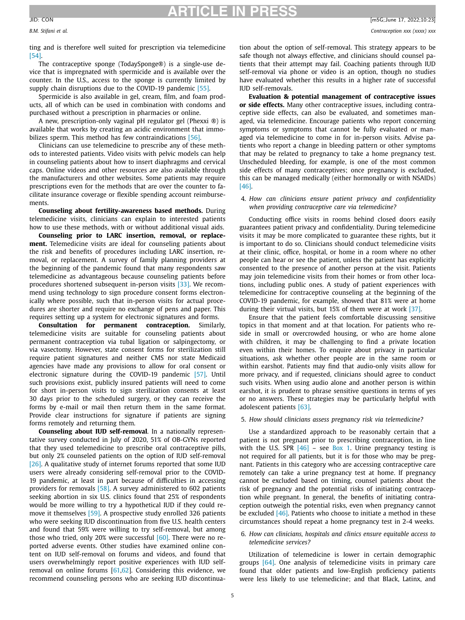ting and is therefore well suited for prescription via telemedicine [\[54\].](#page-9-0)

The contraceptive sponge (TodaySponge®) is a single-use device that is impregnated with spermicide and is available over the counter. In the U.S., access to the sponge is currently limited by supply chain disruptions due to the COVID-19 pandemic [\[55\].](#page-9-0)

Spermicide is also available in gel, cream, film, and foam products, all of which can be used in combination with condoms and purchased without a prescription in pharmacies or online.

A new, prescription-only vaginal pH regulator gel (Phexxi ®) is available that works by creating an acidic environment that immo-bilizes sperm. This method has few contraindications [\[56\].](#page-9-0)

Clinicians can use telemedicine to prescribe any of these methods to interested patients. Video visits with pelvic models can help in counseling patients about how to insert diaphragms and cervical caps. Online videos and other resources are also available through the manufacturers and other websites. Some patients may require prescriptions even for the methods that are over the counter to facilitate insurance coverage or flexible spending account reimbursements.

**Counseling about fertility-awareness based methods.** During telemedicine visits, clinicians can explain to interested patients how to use these methods, with or without additional visual aids.

**Counseling prior to LARC insertion, removal, or replacement.** Telemedicine visits are ideal for counseling patients about the risk and benefits of procedures including LARC insertion, removal, or replacement. A survey of family planning providers at the beginning of the pandemic found that many respondents saw telemedicine as advantageous because counseling patients before procedures shortened subsequent in-person visits [\[33\].](#page-9-0) We recommend using technology to sign procedure consent forms electronically where possible, such that in-person visits for actual procedures are shorter and require no exchange of pens and paper. This requires setting up a system for electronic signatures and forms.

**Consultation for permanent contraception.** Similarly, telemedicine visits are suitable for counseling patients about permanent contraception via tubal ligation or salpingectomy, or via vasectomy. However, state consent forms for sterilization still require patient signatures and neither CMS nor state Medicaid agencies have made any provisions to allow for oral consent or electronic signature during the COVID-19 pandemic [\[57\].](#page-9-0) Until such provisions exist, publicly insured patients will need to come for short in-person visits to sign sterilization consents at least 30 days prior to the scheduled surgery, or they can receive the forms by e-mail or mail then return them in the same format. Provide clear instructions for signature if patients are signing forms remotely and returning them.

**Counseling about IUD self-removal**. In a nationally representative survey conducted in July of 2020, 51% of OB-GYNs reported that they used telemedicine to prescribe oral contraceptive pills, but only 2% counseled patients on the option of IUD self-removal [\[26\].](#page-9-0) A qualitative study of internet forums reported that some IUD users were already considering self-removal prior to the COVID-19 pandemic, at least in part because of difficulties in accessing providers for removals [\[58\].](#page-9-0) A survey administered to 602 patients seeking abortion in six U.S. clinics found that 25% of respondents would be more willing to try a hypothetical IUD if they could remove it themselves [\[59\].](#page-9-0) A prospective study enrolled 326 patients who were seeking IUD discontinuation from five U.S. health centers and found that 59% were willing to try self-removal, but among those who tried, only 20% were successful [\[60\].](#page-9-0) There were no reported adverse events. Other studies have examined online content on IUD self-removal on forums and videos, and found that users overwhelmingly report positive experiences with IUD selfremoval on online forums [\[61,62\]](#page-9-0). Considering this evidence, we recommend counseling persons who are seeking IUD discontinuation about the option of self-removal. This strategy appears to be safe though not always effective, and clinicians should counsel patients that their attempt may fail. Coaching patients through IUD self-removal via phone or video is an option, though no studies have evaluated whether this results in a higher rate of successful IUD self-removals.

**Evaluation & potential management of contraceptive issues or side effects.** Many other contraceptive issues, including contraceptive side effects, can also be evaluated, and sometimes managed, via telemedicine. Encourage patients who report concerning symptoms or symptoms that cannot be fully evaluated or managed via telemedicine to come in for in-person visits. Advise patients who report a change in bleeding pattern or other symptoms that may be related to pregnancy to take a home pregnancy test. Unscheduled bleeding, for example, is one of the most common side effects of many contraceptives; once pregnancy is excluded, this can be managed medically (either hormonally or with NSAIDs) [\[46\].](#page-9-0)

### 4. *How can clinicians ensure patient privacy and confidentiality when providing contraceptive care via telemedicine?*

Conducting office visits in rooms behind closed doors easily guarantees patient privacy and confidentiality. During telemedicine visits it may be more complicated to guarantee these rights, but it is important to do so. Clinicians should conduct telemedicine visits at their clinic, office, hospital, or home in a room where no other people can hear or see the patient, unless the patient has explicitly consented to the presence of another person at the visit. Patients may join telemedicine visits from their homes or from other locations, including public ones. A study of patient experiences with telemedicine for contraceptive counseling at the beginning of the COVID-19 pandemic, for example, showed that 81% were at home during their virtual visits, but 15% of them were at work [\[37\].](#page-9-0)

Ensure that the patient feels comfortable discussing sensitive topics in that moment and at that location. For patients who reside in small or overcrowded housing, or who are home alone with children, it may be challenging to find a private location even within their homes. To enquire about privacy in particular situations, ask whether other people are in the same room or within earshot. Patients may find that audio-only visits allow for more privacy, and if requested, clinicians should agree to conduct such visits. When using audio alone and another person is within earshot, it is prudent to phrase sensitive questions in terms of yes or no answers. These strategies may be particularly helpful with adolescent patients [\[63\].](#page-9-0)

### 5. *How should clinicians assess pregnancy risk via telemedicine?*

Use a standardized approach to be reasonably certain that a patient is not pregnant prior to prescribing contraception, in line with the U.S. SPR  $[46]$  – see [Box](#page-5-0) 1. Urine pregnancy testing is not required for all patients, but it is for those who may be pregnant. Patients in this category who are accessing contraceptive care remotely can take a urine pregnancy test at home. If pregnancy cannot be excluded based on timing, counsel patients about the risk of pregnancy and the potential risks of initiating contraception while pregnant. In general, the benefits of initiating contraception outweigh the potential risks, even when pregnancy cannot be excluded [\[46\].](#page-9-0) Patients who choose to initiate a method in these circumstances should repeat a home pregnancy test in 2-4 weeks.

6. *How can clinicians, hospitals and clinics ensure equitable access to telemedicine services?*

Utilization of telemedicine is lower in certain demographic groups [\[64\].](#page-9-0) One analysis of telemedicine visits in primary care found that older patients and low-English proficiency patients were less likely to use telemedicine; and that Black, Latinx, and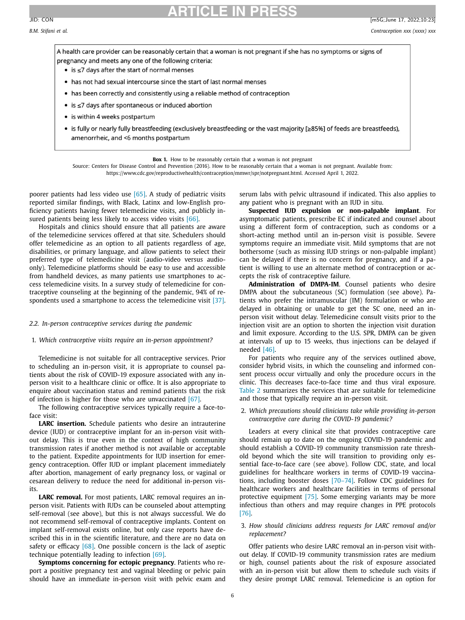<span id="page-5-0"></span>

A health care provider can be reasonably certain that a woman is not pregnant if she has no symptoms or signs of pregnancy and meets any one of the following criteria:

- is ≤7 days after the start of normal menses
- . has not had sexual intercourse since the start of last normal menses
- . has been correctly and consistently using a reliable method of contraception
- is ≤7 days after spontaneous or induced abortion
- is within 4 weeks postpartum
- is fully or nearly fully breastfeeding (exclusively breastfeeding or the vast majority [≥85%] of feeds are breastfeeds), amenorrheic, and <6 months postpartum

Source: Centers for Disease Control and Prevention (2016). How to be reasonably certain that a woman is not pregnant. Available from: https://www.cdc.gov/reproductivehealth/contraception/mmwr/spr/notpregnant.html. Accessed April 1, 2022.

poorer patients had less video use [\[65\].](#page-10-0) A study of pediatric visits reported similar findings, with Black, Latinx and low-English proficiency patients having fewer telemedicine visits, and publicly in-sured patients being less likely to access video visits [\[66\].](#page-10-0)

Hospitals and clinics should ensure that all patients are aware of the telemedicine services offered at that site. Schedulers should offer telemedicine as an option to all patients regardless of age, disabilities, or primary language, and allow patients to select their preferred type of telemedicine visit (audio-video versus audioonly). Telemedicine platforms should be easy to use and accessible from handheld devices, as many patients use smartphones to access telemedicine visits. In a survey study of telemedicine for contraceptive counseling at the beginning of the pandemic, 94% of respondents used a smartphone to access the telemedicine visit [\[37\].](#page-9-0)

### *2.2. In-person contraceptive services during the pandemic*

### 1. *Which contraceptive visits require an in-person appointment?*

Telemedicine is not suitable for all contraceptive services. Prior to scheduling an in-person visit, it is appropriate to counsel patients about the risk of COVID-19 exposure associated with any inperson visit to a healthcare clinic or office. It is also appropriate to enquire about vaccination status and remind patients that the risk of infection is higher for those who are unvaccinated [\[67\].](#page-10-0)

The following contraceptive services typically require a face-toface visit:

**LARC insertion.** Schedule patients who desire an intrauterine device (IUD) or contraceptive implant for an in-person visit without delay. This is true even in the context of high community transmission rates if another method is not available or acceptable to the patient. Expedite appointments for IUD insertion for emergency contraception. Offer IUD or implant placement immediately after abortion, management of early pregnancy loss, or vaginal or cesarean delivery to reduce the need for additional in-person visits.

**LARC removal.** For most patients, LARC removal requires an inperson visit. Patients with IUDs can be counseled about attempting self-removal (see above), but this is not always successful. We do not recommend self-removal of contraceptive implants. Content on implant self-removal exists online, but only case reports have described this in in the scientific literature, and there are no data on safety or efficacy [\[68\].](#page-10-0) One possible concern is the lack of aseptic technique potentially leading to infection [\[69\].](#page-10-0)

**Symptoms concerning for ectopic pregnancy**. Patients who report a positive pregnancy test and vaginal bleeding or pelvic pain should have an immediate in-person visit with pelvic exam and serum labs with pelvic ultrasound if indicated. This also applies to any patient who is pregnant with an IUD in situ.

**Suspected IUD expulsion or non-palpable implant**. For asymptomatic patients, prescribe EC if indicated and counsel about using a different form of contraception, such as condoms or a short-acting method until an in-person visit is possible. Severe symptoms require an immediate visit. Mild symptoms that are not bothersome (such as missing IUD strings or non-palpable implant) can be delayed if there is no concern for pregnancy, and if a patient is willing to use an alternate method of contraception or accepts the risk of contraceptive failure.

**Administration of DMPA-IM**. Counsel patients who desire DMPA about the subcutaneous (SC) formulation (see above). Patients who prefer the intramuscular (IM) formulation or who are delayed in obtaining or unable to get the SC one, need an inperson visit without delay. Telemedicine consult visits prior to the injection visit are an option to shorten the injection visit duration and limit exposure. According to the U.S. SPR, DMPA can be given at intervals of up to 15 weeks, thus injections can be delayed if needed [\[46\].](#page-9-0)

For patients who require any of the services outlined above, consider hybrid visits, in which the counseling and informed consent process occur virtually and only the procedure occurs in the clinic. This decreases face-to-face time and thus viral exposure. [Table](#page-6-0) 2 summarizes the services that are suitable for telemedicine and those that typically require an in-person visit.

2. *Which precautions should clinicians take while providing in-person contraceptive care during the COVID-19 pandemic?*

Leaders at every clinical site that provides contraceptive care should remain up to date on the ongoing COVID-19 pandemic and should establish a COVID-19 community transmission rate threshold beyond which the site will transition to providing only essential face-to-face care (see above). Follow CDC, state, and local guidelines for healthcare workers in terms of COVID-19 vaccinations, including booster doses [\[70–74\].](#page-10-0) Follow CDC guidelines for healthcare workers and healthcare facilities in terms of personal protective equipment [\[75\].](#page-10-0) Some emerging variants may be more infectious than others and may require changes in PPE protocols [\[76\].](#page-10-0)

### 3. *How should clinicians address requests for LARC removal and/or replacement?*

Offer patients who desire LARC removal an in-person visit without delay. If COVID-19 community transmission rates are medium or high, counsel patients about the risk of exposure associated with an in-person visit but allow them to schedule such visits if they desire prompt LARC removal. Telemedicine is an option for

6

**Box 1.** How to be reasonably certain that a woman is not pregnant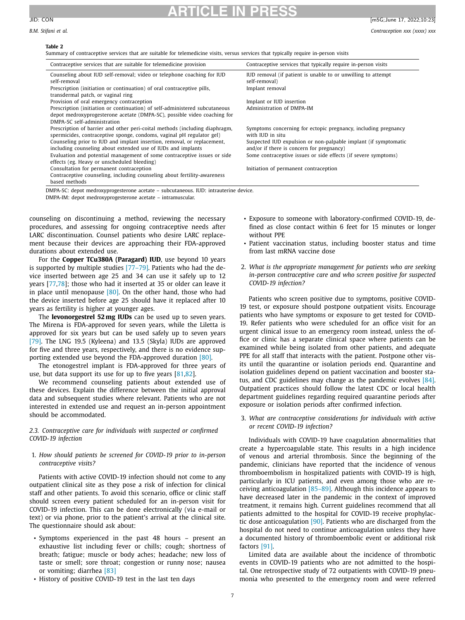### **Table 2**

Summary of contraceptive services that are suitable for telemedicine visits, versus services that typically require in-person visits

**ARTICLE IN PRESS**

<span id="page-6-0"></span>

| JID:<br><b>CON</b> | - -<br>lm5G:June | $\sim$ $\sim$<br>2022<br>٠,.<br>4. LU. 49 |
|--------------------|------------------|-------------------------------------------|
|--------------------|------------------|-------------------------------------------|

| Contraceptive services that are suitable for telemedicine provision         | Contraceptive services that typically require in-person visits  |
|-----------------------------------------------------------------------------|-----------------------------------------------------------------|
| Counseling about IUD self-removal; video or telephone coaching for IUD      | IUD removal (if patient is unable to or unwilling to attempt    |
| self-removal                                                                | self-removal)                                                   |
| Prescription (initiation or continuation) of oral contraceptive pills,      | Implant removal                                                 |
| transdermal patch, or vaginal ring                                          |                                                                 |
| Provision of oral emergency contraception                                   | Implant or IUD insertion                                        |
| Prescription (initiation or continuation) of self-administered subcutaneous | Administration of DMPA-IM                                       |
| depot medroxyprogesterone acetate (DMPA-SC), possible video coaching for    |                                                                 |
| DMPA-SC self-administration                                                 |                                                                 |
| Prescription of barrier and other peri-coital methods (including diaphragm, | Symptoms concerning for ectopic pregnancy, including pregnancy  |
| spermicides, contraceptive sponge, condoms, vaginal pH regulator gel)       | with IUD in situ                                                |
| Counseling prior to IUD and implant insertion, removal, or replacement,     | Suspected IUD expulsion or non-palpable implant (if symptomatic |
| including counseling about extended use of IUDs and implants                | and/or if there is concern for pregnancy)                       |
| Evaluation and potential management of some contraceptive issues or side    | Some contraceptive issues or side effects (if severe symptoms)  |
| effects (eg. Heavy or unscheduled bleeding)                                 |                                                                 |
| Consultation for permanent contraception                                    | Initiation of permanent contraception                           |
| Contraceptive counseling, including counseling about fertility-awareness    |                                                                 |
| based methods                                                               |                                                                 |

DMPA-SC: depot medroxyprogesterone acetate – subcutaneous. IUD: intrauterine device.

DMPA-IM: depot medroxyprogesterone acetate – intramuscular.

counseling on discontinuing a method, reviewing the necessary procedures, and assessing for ongoing contraceptive needs after LARC discontinuation. Counsel patients who desire LARC replacement because their devices are approaching their FDA-approved durations about extended use.

For the **Copper TCu380A (Paragard) IUD**, use beyond 10 years is supported by multiple studies [\[77–79\].](#page-10-0) Patients who had the device inserted between age 25 and 34 can use it safely up to 12 years [\[77,78\]](#page-10-0); those who had it inserted at 35 or older can leave it in place until menopause  $[80]$ . On the other hand, those who had the device inserted before age 25 should have it replaced after 10 years as fertility is higher at younger ages.

The **levonorgestrel 52 mg IUDs** can be used up to seven years. The Mirena is FDA-approved for seven years, while the Liletta is approved for six years but can be used safely up to seven years [\[79\].](#page-10-0) The LNG 19.5 (Kyleena) and 13.5 (Skyla) IUDs are approved for five and three years, respectively, and there is no evidence supporting extended use beyond the FDA-approved duration [\[80\].](#page-10-0)

The etonogestrel implant is FDA-approved for three years of use, but data support its use for up to five years [\[81,82\]](#page-10-0).

We recommend counseling patients about extended use of these devices. Explain the difference between the initial approval data and subsequent studies where relevant. Patients who are not interested in extended use and request an in-person appointment should be accommodated.

### *2.3. Contraceptive care for individuals with suspected or confirmed COVID-19 infection*

### 1. *How should patients be screened for COVID-19 prior to in-person contraceptive visits?*

Patients with active COVID-19 infection should not come to any outpatient clinical site as they pose a risk of infection for clinical staff and other patients. To avoid this scenario, office or clinic staff should screen every patient scheduled for an in-person visit for COVID-19 infection. This can be done electronically (via e-mail or text) or via phone, prior to the patient's arrival at the clinical site. The questionnaire should ask about:

- Symptoms experienced in the past 48 hours present an exhaustive list including fever or chills; cough; shortness of breath; fatigue; muscle or body aches; headache; new loss of taste or smell; sore throat; congestion or runny nose; nausea or vomiting; diarrhea [\[83\]](#page-10-0)
- History of positive COVID-19 test in the last ten days
- Exposure to someone with laboratory-confirmed COVID-19, defined as close contact within 6 feet for 15 minutes or longer without PPE
- Patient vaccination status, including booster status and time from last mRNA vaccine dose
- 2. *What is the appropriate management for patients who are seeking in-person contraceptive care and who screen positive for suspected COVID-19 infection?*

Patients who screen positive due to symptoms, positive COVID-19 test, or exposure should postpone outpatient visits. Encourage patients who have symptoms or exposure to get tested for COVID-19. Refer patients who were scheduled for an office visit for an urgent clinical issue to an emergency room instead, unless the office or clinic has a separate clinical space where patients can be examined while being isolated from other patients, and adequate PPE for all staff that interacts with the patient. Postpone other visits until the quarantine or isolation periods end. Quarantine and isolation guidelines depend on patient vaccination and booster status, and CDC guidelines may change as the pandemic evolves [\[84\].](#page-10-0) Outpatient practices should follow the latest CDC or local health department guidelines regarding required quarantine periods after exposure or isolation periods after confirmed infection.

3. *What are contraceptive considerations for individuals with active or recent COVID-19 infection?*

Individuals with COVID-19 have coagulation abnormalities that create a hypercoagulable state. This results in a high incidence of venous and arterial thrombosis. Since the beginning of the pandemic, clinicians have reported that the incidence of venous thromboembolism in hospitalized patients with COVID-19 is high, particularly in ICU patients, and even among those who are receiving anticoagulation [\[85–89\].](#page-10-0) Although this incidence appears to have decreased later in the pandemic in the context of improved treatment, it remains high. Current guidelines recommend that all patients admitted to the hospital for COVID-19 receive prophylactic dose anticoagulation [\[90\].](#page-10-0) Patients who are discharged from the hospital do not need to continue anticoagulation unless they have a documented history of thromboembolic event or additional risk factors [\[91\].](#page-10-0)

Limited data are available about the incidence of thrombotic events in COVID-19 patients who are not admitted to the hospital. One retrospective study of 72 outpatients with COVID-19 pneumonia who presented to the emergency room and were referred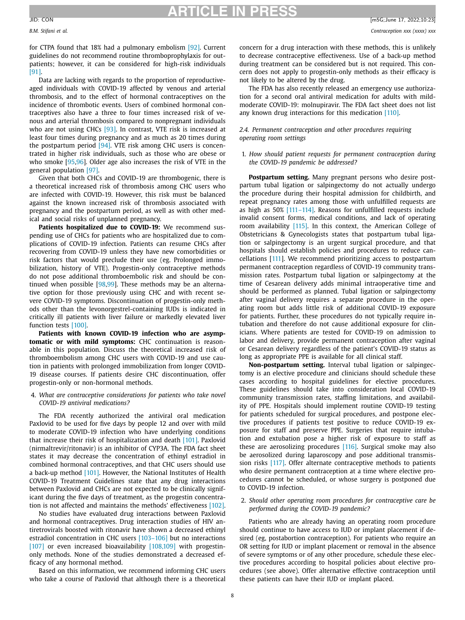# **ARTICLE IN PRESS**

for CTPA found that 18% had a pulmonary embolism [\[92\].](#page-10-0) Current guidelines do not recommend routine thromboprophylaxis for outpatients; however, it can be considered for high-risk individuals [\[91\].](#page-10-0)

Data are lacking with regards to the proportion of reproductiveaged individuals with COVID-19 affected by venous and arterial thrombosis, and to the effect of hormonal contraceptives on the incidence of thrombotic events. Users of combined hormonal contraceptives also have a three to four times increased risk of venous and arterial thrombosis compared to nonpregnant individuals who are not using CHCs [\[93\].](#page-10-0) In contrast, VTE risk is increased at least four times during pregnancy and as much as 20 times during the postpartum period [\[94\].](#page-10-0) VTE risk among CHC users is concentrated in higher risk individuals, such as those who are obese or who smoke [\[95,96\]](#page-10-0). Older age also increases the risk of VTE in the general population [\[97\].](#page-10-0)

Given that both CHCs and COVID-19 are thrombogenic, there is a theoretical increased risk of thrombosis among CHC users who are infected with COVID-19. However, this risk must be balanced against the known increased risk of thrombosis associated with pregnancy and the postpartum period, as well as with other medical and social risks of unplanned pregnancy.

**Patients hospitalized due to COVID-19:** We recommend suspending use of CHCs for patients who are hospitalized due to complications of COVID-19 infection. Patients can resume CHCs after recovering from COVID-19 unless they have new comorbidities or risk factors that would preclude their use (eg. Prolonged immobilization, history of VTE). Progestin-only contraceptive methods do not pose additional thromboembolic risk and should be continued when possible [\[98,99\]](#page-10-0). These methods may be an alternative option for those previously using CHC and with recent severe COVID-19 symptoms. Discontinuation of progestin-only methods other than the levonorgestrel-containing IUDs is indicated in critically ill patients with liver failure or markedly elevated liver function tests [\[100\].](#page-10-0)

**Patients with known COVID-19 infection who are asymptomatic or with mild symptoms:** CHC continuation is reasonable in this population. Discuss the theoretical increased risk of thromboembolism among CHC users with COVID-19 and use caution in patients with prolonged immobilization from longer COVID-19 disease courses. If patients desire CHC discontinuation, offer progestin-only or non-hormonal methods.

### 4. *What are contraceptive considerations for patients who take novel COVID-19 antiviral medications?*

The FDA recently authorized the antiviral oral medication Paxlovid to be used for five days by people 12 and over with mild to moderate COVID-19 infection who have underlying conditions that increase their risk of hospitalization and death [\[101\].](#page-10-0) Paxlovid (nirmaltrevir/ritonavir) is an inhibitor of CYP3A. The FDA fact sheet states it may decrease the concentration of ethinyl estradiol in combined hormonal contraceptives, and that CHC users should use a back-up method [\[101\].](#page-10-0) However, the National Institutes of Health COVID-19 Treatment Guidelines state that any drug interactions between Paxlovid and CHCs are not expected to be clinically significant during the five days of treatment, as the progestin concentration is not affected and maintains the methods' effectiveness [\[102\].](#page-10-0)

No studies have evaluated drug interactions between Paxlovid and hormonal contraceptives. Drug interaction studies of HIV antiretrovirals boosted with ritonavir have shown a decreased ethinyl estradiol concentration in CHC users [\[103–106\]](#page-10-0) but no interactions [\[107\]](#page-10-0) or even increased bioavailability [\[108,109\]](#page-10-0) with progestinonly methods. None of the studies demonstrated a decreased efficacy of any hormonal method.

Based on this information, we recommend informing CHC users who take a course of Paxlovid that although there is a theoretical concern for a drug interaction with these methods, this is unlikely to decrease contraceptive effectiveness. Use of a back-up method during treatment can be considered but is not required. This concern does not apply to progestin-only methods as their efficacy is not likely to be altered by the drug.

The FDA has also recently released an emergency use authorization for a second oral antiviral medication for adults with mildmoderate COVID-19: molnupiravir. The FDA fact sheet does not list any known drug interactions for this medication [\[110\].](#page-10-0)

### *2.4. Permanent contraception and other procedures requiring operating room settings*

1. *How should patient requests for permanent contraception during the COVID-19 pandemic be addressed?*

**Postpartum setting.** Many pregnant persons who desire postpartum tubal ligation or salpingectomy do not actually undergo the procedure during their hospital admission for childbirth, and repeat pregnancy rates among those with unfulfilled requests are as high as 50% [\[111–114\].](#page-11-0) Reasons for unfulfilled requests include invalid consent forms, medical conditions, and lack of operating room availability [\[115\].](#page-11-0) In this context, the American College of Obstetricians & Gynecologists states that postpartum tubal ligation or salpingectomy is an urgent surgical procedure, and that hospitals should establish policies and procedures to reduce cancellations [\[111\]](#page-11-0). We recommend prioritizing access to postpartum permanent contraception regardless of COVID-19 community transmission rates. Postpartum tubal ligation or salpingectomy at the time of Cesarean delivery adds minimal intraoperative time and should be performed as planned. Tubal ligation or salpingectomy after vaginal delivery requires a separate procedure in the operating room but adds little risk of additional COVID-19 exposure for patients. Further, these procedures do not typically require intubation and therefore do not cause additional exposure for clinicians. Where patients are tested for COVID-19 on admission to labor and delivery, provide permanent contraception after vaginal or Cesarean delivery regardless of the patient's COVID-19 status as long as appropriate PPE is available for all clinical staff.

**Non-postpartum setting.** Interval tubal ligation or salpingectomy is an elective procedure and clinicians should schedule these cases according to hospital guidelines for elective procedures. These guidelines should take into consideration local COVID-19 community transmission rates, staffing limitations, and availability of PPE. Hospitals should implement routine COVID-19 testing for patients scheduled for surgical procedures, and postpone elective procedures if patients test positive to reduce COVID-19 exposure for staff and preserve PPE. Surgeries that require intubation and extubation pose a higher risk of exposure to staff as these are aerosolizing procedures [\[116\].](#page-11-0) Surgical smoke may also be aerosolized during laparoscopy and pose additional transmission risks [\[117\].](#page-11-0) Offer alternate contraceptive methods to patients who desire permanent contraception at a time where elective procedures cannot be scheduled, or whose surgery is postponed due to COVID-19 infection.

### 2. *Should other operating room procedures for contraceptive care be performed during the COVID-19 pandemic?*

Patients who are already having an operating room procedure should continue to have access to IUD or implant placement if desired (eg, postabortion contraception). For patients who require an OR setting for IUD or implant placement or removal in the absence of severe symptoms or of any other procedure, schedule these elective procedures according to hospital policies about elective procedures (see above). Offer alternative effective contraception until these patients can have their IUD or implant placed.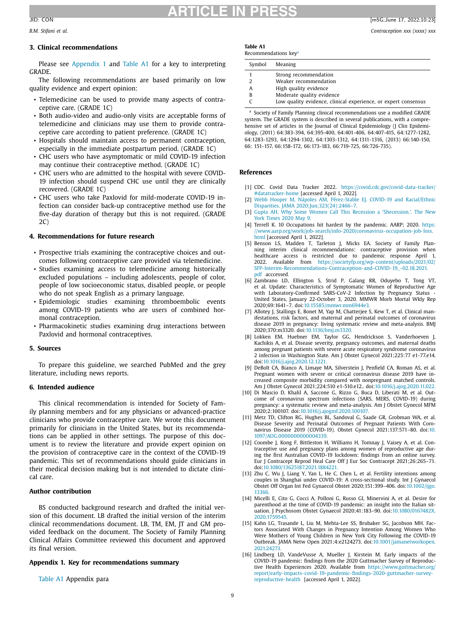### **3. Clinical recommendations**

Please see Appendix 1 and Table A1 for a key to interpreting GRADE.

The following recommendations are based primarily on low quality evidence and expert opinion:

- Telemedicine can be used to provide many aspects of contraceptive care. (GRADE 1C)
- Both audio-video and audio-only visits are acceptable forms of telemedicine and clinicians may use them to provide contraceptive care according to patient preference. (GRADE 1C)
- Hospitals should maintain access to permanent contraception, especially in the immediate postpartum period. (GRADE 1C)
- CHC users who have asymptomatic or mild COVID-19 infection may continue their contraceptive method. (GRADE 1C)
- CHC users who are admitted to the hospital with severe COVID-19 infection should suspend CHC use until they are clinically recovered. (GRADE 1C)
- CHC users who take Paxlovid for mild-moderate COVID-19 infection can consider back-up contraceptive method use for the five-day duration of therapy but this is not required. (GRADE 2C)

### **4. Recommendations for future research**

- Prospective trials examining the contraceptive choices and outcomes following contraceptive care provided via telemedicine.
- Studies examining access to telemedicine among historically excluded populations – including adolescents, people of color, people of low socioeconomic status, disabled people, or people who do not speak English as a primary language.
- Epidemiologic studies examining thromboembolic events among COVID-19 patients who are users of combined hormonal contraception.
- Pharmacokinetic studies examining drug interactions between Paxlovid and hormonal contraceptives.

### **5. Sources**

To prepare this guideline, we searched PubMed and the grey literature, including news reports.

### **6. Intended audience**

This clinical recommendation is intended for Society of Family planning members and for any physicians or advanced-practice clinicians who provide contraceptive care. We wrote this document primarily for clinicians in the United States, but its recommendations can be applied in other settings. The purpose of this document is to review the literature and provide expert opinion on the provision of contraceptive care in the context of the COVID-19 pandemic. This set of recommendations should guide clinicians in their medical decision making but is not intended to dictate clinical care.

### **Author contribution**

BS conducted background research and drafted the initial version of this document. LB drafted the initial version of the interim clinical recommendations document. LB, TM, EM, JT and GM provided feedback on the document. The Society of Family Planning Clinical Affairs Committee reviewed this document and approved its final version.

### **Appendix 1. Key for recommendations summary**

Table A1 Appendix para

### **Table A1** Recommendations key<sup>a</sup>

| Symbol | Meaning                                                        |
|--------|----------------------------------------------------------------|
|        | Strong recommendation                                          |
|        | Weaker recommendation                                          |
| A      | High quality evidence                                          |
| B      | Moderate quality evidence                                      |
|        | Low quality evidence, clinical experience, or expert consensus |

<sup>a</sup> Society of Family Planning clinical recommendations use a modified GRADE system. The GRADE system is described in several publications, with a comprehensive set of articles in the Journal of Clinical Epidemiology (J Clin Epidemiology, (2011) 64:383-394, 64:395-400, 64:401-406, 64:407-415, 64:1277-1282, 64:1283-1293, 64:1294-1302, 64:1303-1312, 64:1311-1316, (2013) 66:140-150, 66: 151-157, 66:158-172, 66:173-183, 66:719-725, 66:726-735).

### **References**

- [1] CDC. Covid Data Tracker 2022. [https://covid.cdc.gov/covid-data-tracker/](https://covid.cdc.gov/covid-data-tracker/#datatracker-home) #datatracker-home [accessed April 1, 2022].
- [2] Webb Hooper M, Nápoles AM, Pérez-Stable EJ. COVID-19 and Racial/Ethnic Disparities. JAMA [2020;Jun;323\(24\):2466–7.](http://refhub.elsevier.com/S0010-7824(22)00138-X/sbref0002)
- [3] Gupta AH. Why Some Women Call This Recession a ['Shecession.'.](http://refhub.elsevier.com/S0010-7824(22)00138-X/sbref0003) The New York Times 2020 May 9.
- [4] Terrell K. 10 Occupations hit hardest by the pandemic. AARP; 2020. https: [//www.aarp.org/work/job-search/info-2020/coronavirus-occupation-job-loss.](https://www.aarp.org/work/job-search/info-2020/coronavirus-occupation-job-loss.html) html [accessed April 1, 2022].
- [5] Benson LS, Madden T, Tarleton J, Micks EA. Society of Family Planning interim clinical recommendations: contraceptive provision when healthcare access is restricted due to pandemic response April 1, 2022. Available from https://societyfp.org/wp-content/uploads/2021/02/ [SFP-Interim-Recommendations-Contraception-and-COVID-19\\_-02.18.2021.](https://societyfp.org/wp-content/uploads/2021/02/SFP-Interim-Recommendations-Contraception-and-COVID-19_-02.18.2021.pdf) pdf acccessed.
- [6] Zambrano LD, Ellington S, Strid P, Galang RR, Oduyebo T, Tong VT, et al. Update: Characteristics of Symptomatic Women of Reproductive Age with Laboratory-Confirmed SARS-CoV-2 Infection by Pregnancy Status United States, January 22-October 3, 2020. MMWR Morb Mortal Wkly Rep 2020;69:1641–7. doi[:10.15585/mmwr.mm6944e3.](https://doi.org/10.15585/mmwr.mm6944e3)
- [7] Allotey J, Stallings E, Bonet M, Yap M, Chatterjee S, Kew T, et al. Clinical manifestations, risk factors, and maternal and perinatal outcomes of coronavirus disease 2019 in pregnancy: living systematic review and meta-analysis. BMJ 2020;370:m3320. doi[:10.1136/bmj.m3320.](https://doi.org/10.1136/bmj.m3320)
- [8] Lokken EM, Huebner EM, Taylor GG, Hendrickson S, Vanderhoeven J, Kachikis A, et al. Disease severity, pregnancy outcomes, and maternal deaths among pregnant patients with severe acute respiratory syndrome coronavirus 2 infection in Washington State. Am J Obstet Gynecol 2021;225:77 e1-77.e14. doi[:10.1016/j.ajog.2020.12.1221.](https://doi.org/10.1016/j.ajog.2020.12.1221)
- [9] DeBolt CA, Bianco A, Limaye MA, Silverstein J, Penfield CA, Roman AS, et al. Pregnant women with severe or critical coronavirus disease 2019 have increased composite morbidity compared with nonpregnant matched controls. Am J Obstet Gynecol 2021;224:510 e1-510.e12.. doi[:10.1016/j.ajog.2020.11.022.](https://doi.org/10.1016/j.ajog.2020.11.022)
- [10] Di Mascio D, Khalil A, Saccone G, Rizzo G, Buca D, Liberati M, et al. Outcome of coronavirus spectrum infections (SARS, MERS, COVID-19) during pregnancy: a systematic review and meta-analysis. Am J Obstet Gynecol MFM 2020;2:100107. doi[:10.1016/j.ajogmf.2020.100107.](https://doi.org/10.1016/j.ajogmf.2020.100107)
- [11] Metz TD, Clifton RG, Hughes BL, Sandoval G, Saade GR, Grobman WA, et al. Disease Severity and Perinatal Outcomes of Pregnant Patients With Coronavirus Disease 2019 (COVID-19). Obstet Gynecol 2021;137:571–80. doi:10. [1097/AOG.0000000000004339.](https://doi.org/10.1097/AOG.0000000000004339)
- [12] Coombe J, Kong F, Bittleston H, Williams H, Tomnay J, Vaisey A, et al. Contraceptive use and pregnancy plans among women of reproductive age during the first Australian COVID-19 lockdown: findings from an online survey. Eur J Contracept Reprod Heal Care Off J Eur Soc Contracept 2021;26:265–71. doi[:10.1080/13625187.2021.1884221.](https://doi.org/10.1080/13625187.2021.1884221)
- [13] Zhu C, Wu J, Liang Y, Yan L, He C, Chen L, et al. Fertility intentions among couples in Shanghai under COVID-19: A cross-sectional study. Int J Gynaecol Obstet Off Organ Int Fed Gynaecol Obstet [2020;151:399–406.](https://doi.org/10.1002/ijgo.13366) doi:10.1002/ijgo. 13366.
- [14] Micelli E, Cito G, Cocci A, Polloni G, Russo GI, Minervini A, et al. Desire for parenthood at the time of COVID-19 pandemic: an insight into the Italian situation. J Psychosom Obstet Gynaecol 2020;41:183–90. [doi:10.1080/0167482X.](https://doi.org/10.1080/0167482X.2020.1759545) 2020.1759545.
- [15] Kahn LG, Trasande L, Liu M, Mehta-Lee SS, Brubaker SG, Jacobson MH. Factors Associated With Changes in Pregnancy Intention Among Women Who Were Mothers of Young Children in New York City Following the COVID-19 Outbreak. JAMA Netw Open 2021;4:e2124273. [doi:10.1001/jamanetworkopen.](https://doi.org/10.1001/jamanetworkopen.2021.24273) 2021.24273.
- [16] Lindberg LD, VandeVusse A, Mueller J, Kirstein M. Early impacts of the COVID-19 pandemic: findings from the 2020 Guttmacher Survey of Reproductive Health Experiences 2020. Available from https://www.guttmacher.org/ [report/early-impacts-covid-19-pandemic-findings-2020-guttmacher-survey](https://www.guttmacher.org/report/early-impacts-covid-19-pandemic-findings-2020-guttmacher-survey-reproductive-health)reproductive-health [accessed April 1, 2022].

<span id="page-8-0"></span>*B.M. Stifani et al. Contraception xxx (xxxx) xxx*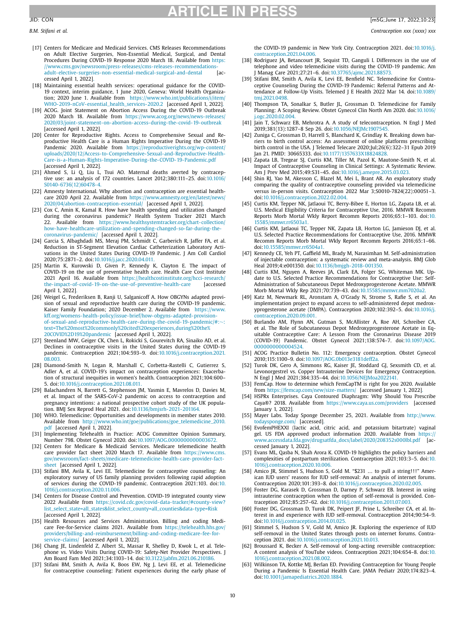- <span id="page-9-0"></span>[17] Centers for Medicare and Medicaid Services. CMS Releases Recommendations on Adult Elective Surgeries, Non-Essential Medical, Surgical, and Dental Procedures During COVID-19 Response 2020 March 18. Available from https: [//www.cms.gov/newsroom/press-releases/cms-releases-recommendations](https://www.cms.gov/newsroom/press-releases/cms-releases-recommendations-adult-elective-surgeries-non-essential-medical-surgical-and-dental)adult-elective-surgeries-non-essential-medical-surgical-and-dental [accessed April 1, 2022].
- [18] Maintaining essential health services: operational guidance for the COVID-19 context, interim guidance, 1 June 2020, Geneva: World Health Organization; 2020 June 1. Available from https://www.who.int/publications/i/item/ [WHO-2019-nCoV-essential\\_health\\_services-2020.2](https://www.who.int/publications/i/item/WHO-2019-nCoV-essential_health_services-2020.2) [accessed April 1, 2022].
- [19] ACOG. Joint Statement on Abortion Access During the COVID-19 Outbreak 2020 March 18. Available from https://www.acog.org/news/news-releases/ [2020/03/joint-statement-on-abortion-access-during-the-covid-19-outbreak](https://www.acog.org/news/news-releases/2020/03/joint-statement-on-abortion-access-during-the-covid-19-outbreak) [accessed April 1, 2022].
- [20] Center for Reproductive Rights. Access to Comprehensive Sexual and Reproductive Health Care is a Human Rights Imperative During the COVID-19 Pandemic 2020. Available from https://reproductiverights.org/wp-content/ [uploads/2020/12/Access-to-Comprehensive-Sexual-and-Reproductive-Health-](https://reproductiverights.org/wp-content/uploads/2020/12/Access-to-Comprehensive-Sexual-and-Reproductive-Health-Care-is-a-Human-Rights-Imperative-During-the-COVID-19-Pandemic.pdf)Care-is-a-Human-Rights-Imperative-During-the-COVID-19-Pandemic.pdf [accessed April 1, 2022].
- [21] Ahmed S, Li Q, Liu L, Tsui AO. Maternal deaths averted by contraceptive use: an analysis of 172 countries. Lancet 2012;380:111–25. doi:10.1016/ [S0140-6736\(12\)60478-4.](https://doi.org/10.1016/S0140-6736(12)60478-4)
- [22] Amnesty International. Why abortion and contraception are essential healthcare 2020 April 22. Available from https://www.amnesty.org/en/latest/news/ [2020/04/abortion-contraception-essential/](https://www.amnesty.org/en/latest/news/2020/04/abortion-contraception-essential/) [accessed April 1, 2022].
- [23] Cox C, Amin K, Kamal R. How have health spending and utilization changed during the coronavirus pandemic? Health System Tracker 2021 March 22. Available from https://www.healthsystemtracker.org/chart-collection/ [how-have-healthcare-utilization-and-spending-changed-so-far-during-the](https://www.healthsystemtracker.org/chart-collection/how-have-healthcare-utilization-and-spending-changed-so-far-during-the-coronavirus-pandemic/)coronavirus-pandemic/ [accessed April 1, 2022].
- [24] Garcia S, Albaghdadi MS, Meraj PM, Schmidt C, Garberich R, Jaffer FA, et al. Reduction in ST-Segment Elevation Cardiac Catheterization Laboratory Activations in the United States During COVID-19 Pandemic. J Am Coll Cardiol 2020;75:2871–2. doi[:10.1016/j.jacc.2020.04.011.](https://doi.org/10.1016/j.jacc.2020.04.011)
- [25] Martin K, Kurowski D, Given P, Kennedy K, Clayton E. The impact of COVID-19 on the use of preventative health care. Health Care Cost Institute 2021 April 16. Available from https://healthcostinstitute.org/hcci-research/<br>the-impact-of-covid-19-on-the-use-of-preventive-health-care laccessed [the-impact-of-covid-19-on-the-use-of-preventive-health-care](https://healthcostinstitute.org/hcci-research/the-impact-of-covid-19-on-the-use-of-preventive-health-care) April 1, 2022].
- [26] Weigel G, Frederiksen B, Ranji U, Salganicoff A. How OBGYNs adapted provision of sexual and reproductive health care during the COVID-19 pandemic. Kaiser Family Foundation; 2020 December 2. Available from https://www. kff.org/womens-health-policy/issue-brief/how-obgyns-adapted-provision[of-sexual-and-reproductive-health-care-during-the-covid-19-pandemic/#:](https://www.kff.org/womens-health-policy/issue-brief/how-obgyns-adapted-provision-of-sexual-and-reproductive-health-care-during-the-covid-19-pandemic/#:~:text=The%20most%20commonly%20cited%20experiences,during%20the%20COVID%2D19%20pandemic)∼: text=The%20most%20commonly%20cited%20experiences,during%20the% 20COVID%2D19%20pandemic [accessed April 1, 2022].
- [27] Steenland MW, Geiger CK, Chen L, Rokicki S, Gourevitch RA, Sinaiko AD, et al. Declines in contraceptive visits in the United States during the COVID-19 pandemic. Contraception 2021;104:593–9. [doi:10.1016/j.contraception.2021.](https://doi.org/10.1016/j.contraception.2021.08.003) 08.003.
- [28] Diamond-Smith N, Logan R, Marshall C, Corbetta-Rastelli C, Gutierrez S, Adler A, et al. COVID-19's impact on contraception experiences: Exacerbation of structural inequities in women's health. Contraception 2021;104:600– 5. doi[:10.1016/j.contraception.2021.08.011.](https://doi.org/10.1016/j.contraception.2021.08.011)
- [29] Balachandren N, Barrett G, Stephenson JM, Yasmin E, Mavrelos D, Davies M, et al. Impact of the SARS-CoV-2 pandemic on access to contraception and pregnancy intentions: a national prospective cohort study of the UK population. BMJ Sex Reprod Heal 2021. doi[:10.1136/bmjsrh-2021-201164.](https://doi.org/10.1136/bmjsrh-2021-201164)
- [30] WHO. Telemedicine: Opportunities and developments in member states 2010. Available from [http://www.who.int/goe/publications/goe\\_telemedicine\\_2010.](http://www.who.int/goe/publications/goe_telemedicine_2010.pdf) pdf [accessed April 1, 2022].
- Implementing Telehealth in Practice: ACOG Committee Opinion Summary, Number 798. Obstet Gynecol 2020. doi[:10.1097/AOG.0000000000003672.](https://doi.org/10.1097/AOG.0000000000003672)
- [32] Centers for Medicare & Medicaid Services. Medicare telemedicine health care provider fact sheet 2020 March 17. Available from https://www.cms. [gov/newsroom/fact-sheets/medicare-telemedicine-health-care-provider-fact](https://www.cms.gov/newsroom/fact-sheets/medicare-telemedicine-health-care-provider-fact-sheet)sheet [accessed April 1, 2022].
- [33] Stifani BM, Avila K, Levi EE. Telemedicine for contraceptive counseling: An exploratory survey of US family planning providers following rapid adoption of services during the COVID-19 pandemic. Contraception 2021:103. doi:10. [1016/j.contraception.2020.11.006.](https://doi.org/10.1016/j.contraception.2020.11.006)
- [34] Centers for Disease Control and Prevention. COVID-19 integrated county view 2022 Available from https://covid.cdc.gov/covid-data-tracker/#county-view? [list\\_select\\_state=all\\_states&list\\_select\\_county=all\\_counties&data-type=Risk](https://covid.cdc.gov/covid-data-tracker/#county-view?list_select_state=all_states&list_select_county=all_counties&data-type=Risk) [accessed April 1, 2022].
- [35] Health Resources and Services Administration. Billing and coding Medicare Fee-for-Service claims 2021. Available from https://telehealth.hhs.gov/ [providers/billing-and-reimbursement/billing-and-coding-medicare-fee-for](https://telehealth.hhs.gov/providers/billing-and-reimbursement/billing-and-coding-medicare-fee-for-service-claims/)service-claims/ [accessed April 1, 2022].
- [36] Chang JE, Lindenfeld Z, Albert SL, Massar R, Shelley D, Kwok L, et al. Telephone vs. Video Visits During COVID-19: Safety-Net Provider Perspectives. J Am Board Fam Med 2021;34:1103–14. doi[:10.3122/jabfm.2021.06.210186.](https://doi.org/10.3122/jabfm.2021.06.210186)
- [37] Stifani BM, Smith A, Avila K, Boos EW, Ng J, Levi EE, et al. Telemedicine for contraceptive counseling: Patient experiences during the early phase of

the COVID-19 pandemic in New York City. Contraception 2021. doi:10.1016/j. [contraception.2021.04.006.](https://doi.org/10.1016/j.contraception.2021.04.006)

- [38] Rodriguez JA, Betancourt JR, Sequist TD, Ganguli I. Differences in the use of telephone and video telemedicine visits during the COVID-19 pandemic. Am J Manag Care 2021;27:21–6. doi[:10.37765/ajmc.2021.88573.](https://doi.org/10.37765/ajmc.2021.88573)
- [39] Stifani BM, Smith A, Avila K, Levi EE, Benfield NC, Telemedicine for Contraceptive Counseling During the COVID-19 Pandemic: Referral Patterns and Attendance at Follow-Up Visits. Telemed J E Health 2022 Mar 14. doi:10.1089/ [tmj.2021.0498.](https://doi.org/10.1089/tmj.2021.0498)
- [40] Thompson TA, Sonalkar S, Butler JL, Grossman D. Telemedicine for Family Planning: A Scoping Review. Obstet Gynecol Clin North Am 2020. doi:10.1016/ [j.ogc.2020.02.004.](https://doi.org/10.1016/j.ogc.2020.02.004)
- [41] Jain T, Schwarz EB, Mehrotra A. A study of telecontraception. N Engl J Med 2019;381(13):1287–8 Sep 26. doi[:10.1056/NEJMc1907545.](https://doi.org/10.1056/NEJMc1907545)
- [42] Zuniga C, Grossman D, Harrell S, Blanchard K, Grindlay K. Breaking down barriers to birth control access: An assessment of online platforms prescribing birth control in the USA. J Telemed Telecare 2020;Jul;26(6):322–31 Epub 2019 Jan 21. PMID: 30665333. doi[:10.1177/1357633X18824828.](https://doi.org/10.1177/1357633X18824828)
- [43] Zapata LB, Tregear SJ, Curtis KM, Tiller M, Pazol K, Mautone-Smith N, et al. Impact of Contraceptive Counseling in Clinical Settings: A Systematic Review. Am J Prev Med 2015;49:S31–45. doi[:10.1016/j.amepre.2015.03.023.](https://doi.org/10.1016/j.amepre.2015.03.023)
- [44] Shin RJ, Yao M, Akesson C, Blazel M, Mei L, Brant AR. An exploratory study comparing the quality of contraceptive counseling provided via telemedicine versus in-person visits. Contraception 2022 Mar 3;S0010-7824(22):00051–3. doi[:10.1016/j.contraception.2022.02.004.](https://doi.org/10.1016/j.contraception.2022.02.004)
- [45] Curtis KM, Tepper NK, Jatlaoui TC, Berry-Bibee E, Horton LG, Zapata LB, et al. U.S. Medical Eligibility Criteria for Contraceptive Use, 2016. MMWR Recomm Reports Morb Mortal Wkly Report Recomm Reports 2016;65:1–103. doi:10. [15585/mmwr.rr6503a1.](https://doi.org/10.15585/mmwr.rr6503a1)
- [46] Curtis KM, Jatlaoui TC, Tepper NK, Zapata LB, Horton LG, Jamieson DJ, et al. U.S. Selected Practice Recommendations for Contraceptive Use, 2016. MMWR Recomm Reports Morb Mortal Wkly Report Recomm Reports 2016;65:1–66. doi[:10.15585/mmwr.rr6504a1.](https://doi.org/10.15585/mmwr.rr6504a1)
- [47] Kennedy CE, Yeh PT, Gaffield ML, Brady M, Narasimhan M. Self-administration of injectable contraception: a systematic review and meta-analysis. BMJ Glob Heal 2019;4:e001350. doi[:10.1136/bmjgh-2018-001350.](https://doi.org/10.1136/bmjgh-2018-001350)
- [48] Curtis KM, Nguyen A, Reeves JA, Clark EA, Folger SG, Whiteman MK. Update to U.S. Selected Practice Recommendations for Contraceptive Use: Self-Administration of Subcutaneous Depot Medroxyprogesterone Acetate. MMWR Morb Mortal Wkly Rep 2021;70:739–43. doi[:10.15585/mmwr.mm7020a2.](https://doi.org/10.15585/mmwr.mm7020a2)
- [49] Katz M, Newmark RL, Aronstam A, O'Grady N, Strome S, Rafie S, et al. An implementation project to expand access to self-administered depot medroxyprogesterone acetate (DMPA). Contraception 2020;102:392–5. doi:10.1016/j. [contraception.2020.09.001.](https://doi.org/10.1016/j.contraception.2020.09.001)
- [50] Burlando AM, Flynn AN, Gutman S, McAllister A, Roe AH, Schreiber CA, et al. The Role of Subcutaneous Depot Medroxyprogesterone Acetate in Equitable Contraceptive Care: A Lesson From the Coronavirus Disease 2019 (COVID-19) Pandemic. Obstet Gynecol 2021;138:574–7. doi:10.1097/AOG. [0000000000004524.](https://doi.org/10.1097/AOG.0000000000004524)
- [51] ACOG Practice Bulletin No. 112: Emergency contraception. Obstet Gynecol 2010;115:1100–9. doi[:10.1097/AOG.0b013e3181deff2a.](https://doi.org/10.1097/AOG.0b013e3181deff2a)
- [52] Turok DK, Gero A, Simmons RG, Kaiser JE, Stoddard GJ, Sexsmith CD, et al. Levonorgestrel vs. Copper Intrauterine Devices for Emergency Contraception. N Engl J Med 2021;384:335–44. doi[:10.1056/NEJMoa2022141.](https://doi.org/10.1056/NEJMoa2022141)
- [53] FemCap. How to determine which FemCapTM is right for you 2020. Available from <https://femcap.com/new/size-matters/> [accessed January 1, 2022].
- [54] HSPRx Enterprises. Caya Contoured Diaphragm: Why Should You Prescribe Caya®? 2018. Available from <https://www.caya.us.com/providers> [accessed January 1, 2022].
- [55] Mayer Labs. Today Sponge December 25, 2021. Available from http://www. [todaysponge.com/](http://www.todaysponge.com/) [accessed].
- [56] EvofemPHEXXI (lactic acid, citric acid, and potassium bitartrate) vaginal gel. US FDA approved product information 2020. Available from https:// [www.accessdata.fda.gov/drugsatfda\\_docs/label/2020/208352s000lbl.pdf](https://www.accessdata.fda.gov/drugsatfda_docs/label/2020/208352s000lbl.pdf) [accessed January 1, 2022].
- [57] Evans ML, Qasba N, Shah Arora K. COVID-19 highlights the policy barriers and complexities of postpartum sterilization. Contraception 2021;103:3–5. doi:10. [1016/j.contraception.2020.10.006.](https://doi.org/10.1016/j.contraception.2020.10.006)
- [58] Amico JR, Stimmel S, Hudson S, Gold M. "\$231 ... to pull a string!!!" American IUD users' reasons for IUD self-removal: An analysis of internet forums. Contraception 2020;101:393–8. doi[:10.1016/j.contraception.2020.02.005.](https://doi.org/10.1016/j.contraception.2020.02.005)
- [59] Foster DG, Karasek D, Grossman D, Darney P, Schwarz EB. Interest in using intrauterine contraception when the option of self-removal is provided. Contraception 2012;85:257–62. doi[:10.1016/j.contraception.2011.07.003.](https://doi.org/10.1016/j.contraception.2011.07.003)
- [60] Foster DG, Grossman D, Turok DK, Peipert JF, Prine L, Schreiber CA, et al. Interest in and experience with IUD self-removal. Contraception 2014;90:54–9. doi[:10.1016/j.contraception.2014.01.025.](https://doi.org/10.1016/j.contraception.2014.01.025)
- [61] Stimmel S, Hudson S V, Gold M, Amico JR. Exploring the experience of IUD self-removal in the United States through posts on internet forums. Contraception 2021. doi[:10.1016/j.contraception.2021.10.013.](https://doi.org/10.1016/j.contraception.2021.10.013)
- [62] Broussard K, Becker A. Self-removal of long-acting reversible contraception: A content analysis of YouTube videos. Contraception 2021;104:654–8. doi:10. [1016/j.contraception.2021.08.002.](https://doi.org/10.1016/j.contraception.2021.08.002)
- [63] Wilkinson TA, Kottke MJ, Berlan ED. Providing Contraception for Young People During a Pandemic Is Essential Health Care. JAMA Pediatr 2020;174:823–4. doi[:10.1001/jamapediatrics.2020.1884.](https://doi.org/10.1001/jamapediatrics.2020.1884)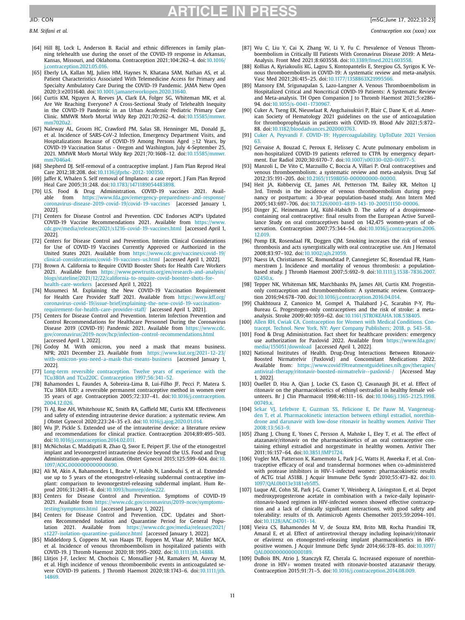- <span id="page-10-0"></span>
- [64] Hill BJ, Lock L, Anderson B. Racial and ethnic differences in family planning telehealth use during the onset of the COVID-19 response in Arkansas, Kansas, Missouri, and Oklahoma. Contraception 2021;104:262–4. doi:10.1016/ [j.contraception.2021.05.016.](https://doi.org/10.1016/j.contraception.2021.05.016)
- [65] Eberly LA, Kallan MJ, Julien HM, Haynes N, Khatana SAM, Nathan AS, et al. Patient Characteristics Associated With Telemedicine Access for Primary and Specialty Ambulatory Care During the COVID-19 Pandemic. JAMA Netw Open 2020;3:e2031640. doi[:10.1001/jamanetworkopen.2020.31640.](https://doi.org/10.1001/jamanetworkopen.2020.31640)
- [66] Curtis KM, Nguyen A, Reeves JA, Clark EA, Folger SG, Whiteman MK, et al. Are We Reaching Everyone? A Cross-Sectional Study of Telehealth Inequity in the COVID-19 Pandemic in an Urban Academic Pediatric Primary Care Clinic. MMWR Morb Mortal Wkly Rep 2021;70:262–4. [doi:10.15585/mmwr.](https://doi.org/10.15585/mmwr.mm7020a2) mm7020a2
- [67] Naleway AL, Groom HC, Crawford PM, Salas SB, Henninger ML, Donald JL, et al. Incidence of SARS-CoV-2 Infection, Emergency Department Visits, and Hospitalizations Because of COVID-19 Among Persons Aged ≥12 Years, by COVID-19 Vaccination Status - Oregon and Washington, July 4-September 25, 2021. MMWR Morb Mortal Wkly Rep 2021;70:1608–12. [doi:10.15585/mmwr.](https://doi.org/10.15585/mmwr.mm7046a4) mm7046a4.
- [68] Shepherd DJ. Self-removal of a contraceptive implant. J Fam Plan Reprod Heal Care 2012;38:208. doi[:10.1136/jfprhc-2012-100350.](https://doi.org/10.1136/jfprhc-2012-100350)
- [69] Jaffer K, Whalen S. Self removal of Implanon: a case report. J Fam Plan Reprod Heal Care 2005;31:248. doi[:10.1783/1471189054483898.](https://doi.org/10.1783/1471189054483898)
- [70] U.S. Food & Drug Administration. COVID-19 vaccines 2021. Avail-able from [https://www.fda.gov/emergency-preparedness-and-response/](https://www.fda.gov/emergency-preparedness-and-response/coronavirus-disease-2019-covid-19/covid-19-vaccines) coronavirus-disease-2019-covid-19/covid-19-vaccines [accessed January 1, 2022].
- [71] Centers for Disease Control and Prevention. CDC Endorses ACIP's Updated COVID-19 Vaccine Recommendations 2021. Available from https://www. [cdc.gov/media/releases/2021/s1216-covid-19-vaccines.html](https://www.cdc.gov/media/releases/2021/s1216-covid-19-vaccines.html) [accessed April 1, 2022].
- [72] Centers for Disease Control and Prevention. Interim Clinical Considerations for Use of COVID-19 Vaccines Currently Approved or Authorized in the United States 2021. Available from https://www.cdc.gov/vaccines/covid-19/ [clinical-considerations/covid-19-vaccines-us.html](https://www.cdc.gov/vaccines/covid-19/clinical-considerations/covid-19-vaccines-us.html) [accessed April 1, 2022].
- [73] Brown A. California to Require COVID Booster Shots for Health Care Workers 2021. Available from https://www.pewtrusts.org/en/research-and-analysis/ [blogs/stateline/2021/12/22/california-to-require-covid-booster-shots-for](https://www.pewtrusts.org/en/research-and-analysis/blogs/stateline/2021/12/22/california-to-require-covid-booster-shots-for-health-care-workers)health-care-workers [accessed April 1, 2022].
- [74] Musumeci M. Explaining the New COVID-19 Vaccination Requirement for Health Care Provider Staff 2021. Available from https://www.kff.org/ [coronavirus-covid-19/issue-brief/explaining-the-new-covid-19-vaccination](https://www.kff.org/coronavirus-covid-19/issue-brief/explaining-the-new-covid-19-vaccination-requirement-for-health-care-provider-staff/)requirement-for-health-care-provider-staff/ [accessed April 1, 2021].
- [75] Centers for Disease Control and Prevention. Interim Infection Prevention and Control Recommendations for Healthcare Personnel During the Coronavirus Disease 2019 (COVID-19) Pandemic 2021. Available from https://www.cdc. [gov/coronavirus/2019-ncov/hcp/infection-control-recommendations.html](https://www.cdc.gov/coronavirus/2019-ncov/hcp/infection-control-recommendations.html) [accessed April 1, 2022].
- [76] Godoy M. With omicron, you need a mask that means business. NPR; 2021 December 23. Available from https://www.kut.org/2021-12-23/ [with-omicron-you-need-a-mask-that-means-business](https://www.kut.org/2021-12-23/with-omicron-you-need-a-mask-that-means-business) [accessed January 1, 2022].
- [77] Long-term reversible contraception. Twelve years of experience with the TCu380A and TCu220C. Contraception [1997;56:341–52.](http://refhub.elsevier.com/S0010-7824(22)00138-X/sbref0079)
- [78] Bahamondes L, Faundes A, Sobreira-Lima B, Lui-Filho JF, Pecci P, Matera S. TCu 380A IUD: a reversible permanent contraceptive method in women over 35 years of age. Contraception 2005;72:337–41. [doi:10.1016/j.contraception.](https://doi.org/10.1016/j.contraception.2004.12.026) 2004.12.026.
- [79] Ti AJ, Roe AH, Whitehouse KC, Smith RA, Gaffield ME, Curtis KM. Effectiveness and safety of extending intrauterine device duration: a systematic review. Am J Obstet Gynecol 2020;223:24–35 e3. doi[:10.1016/j.ajog.2020.01.014.](https://doi.org/10.1016/j.ajog.2020.01.014)
- [80] Wu JP, Pickle S. Extended use of the intrauterine device: a literature review and recommendations for clinical practice. Contraception 2014;89:495–503. doi[:10.1016/j.contraception.2014.02.011.](https://doi.org/10.1016/j.contraception.2014.02.011)
- [81] McNicholas C, Maddipati R, Zhao Q, Swor E, Peipert JF. Use of the etonogestrel implant and levonorgestrel intrauterine device beyond the U.S. Food and Drug Administration-approved duration. Obstet Gynecol 2015;125:599–604. doi:10. [1097/AOG.0000000000000690.](https://doi.org/10.1097/AOG.0000000000000690)
- [82] Ali M, Akin A, Bahamondes L, Brache V, Habib N, Landoulsi S, et al. Extended use up to 5 years of the etonogestrel-releasing subdermal contraceptive implant: comparison to levonorgestrel-releasing subdermal implant. Hum Reprod 2016;31:2491–8. doi[:10.1093/humrep/dew222.](https://doi.org/10.1093/humrep/dew222)
- [83] Centers for Disease Control and Prevention. Symptoms of COVID-19 2021. Available from [https://www.cdc.gov/coronavirus/2019-ncov/symptoms](https://www.cdc.gov/coronavirus/2019-ncov/symptoms-testing/symptoms.html)testing/symptoms.html [accessed January 1, 2022].
- [84] Centers for Disease Control and Prevention. CDC. Updates and Shortens Recommended Isolation and Quarantine Period for General Population 2021. Available from [https://www.cdc.gov/media/releases/2021/](https://www.cdc.gov/media/releases/2021/s1227-isolation-quarantine-guidance.html) s1227-isolation-quarantine-guidance.html [accessed January 1, 2022].
- [85] Middeldorp S, Coppens M, van Haaps TF, Foppen M, Vlaar AP, Müller MCA, et al. Incidence of venous thromboembolism in hospitalized patients with COVID-19. J Thromb Haemost 2020;18:1995–2002. doi[:10.1111/jth.14888.](https://doi.org/10.1111/jth.14888)
- [86] Llitjos J-F, Leclerc M, Chochois C, Monsallier J-M, Ramakers M, Auvray M, et al. High incidence of venous thromboembolic events in anticoagulated severe COVID-19 patients. J Thromb Haemost 2020;18:1743-6. doi:10.1111/jth. 14869.
- [87] Wu C, Liu Y, Cai X, Zhang W, Li Y, Fu C. Prevalence of Venous Thromboembolism in Critically Ill Patients With Coronavirus Disease 2019: A Meta-Analysis. Front Med 2021;8:603558. doi[:10.3389/fmed.2021.603558.](https://doi.org/10.3389/fmed.2021.603558)
- [88] Kollias A, Kyriakoulis KG, Lagou S, Kontopantelis E, Stergiou GS, Syrigos K. Venous thromboembolism in COVID-19: A systematic review and meta-analysis. Vasc Med 2021;26:415–25. doi[:10.1177/1358863X21995566.](https://doi.org/10.1177/1358863X21995566)
- [89] Mansory EM, Srigunapalan S, Lazo-Langner A. Venous Thromboembolism in Hospitalized Critical and Noncritical COVID-19 Patients: A Systematic Review and Meta-analysis. TH Open Companion J to Thromb Haemost 2021;5:e286– 94. doi[:10.1055/s-0041-1730967.](https://doi.org/10.1055/s-0041-1730967)
- [90] Cuker A, Tseng EK, Nieuwlaat R, Angchaisuksiri P, Blair C, Dane K, et al. American Society of Hematology 2021 guidelines on the use of anticoagulation for thromboprophylaxis in patients with COVID-19. Blood Adv 2021;5:872– 88. doi[:10.1182/bloodadvances.2020003763.](https://doi.org/10.1182/bloodadvances.2020003763)
- [91] Cuker A, Peyvandi F. COVID-19: [Hypercoagulability.](http://refhub.elsevier.com/S0010-7824(22)00138-X/sbref0093) UpToDate 2021 Version 63.
- [92] Gervaise A, Bouzad C, Peroux E, Helissey C. Acute pulmonary embolism in non-hospitalized COVID-19 patients referred to CTPA by emergency department. Eur Radiol 2020;30:6170–7. doi[:10.1007/s00330-020-06977-5.](https://doi.org/10.1007/s00330-020-06977-5)
- [93] Manzoli L, De Vito C, Marzuillo C, Boccia A, Villari P. Oral contraceptives and venous thromboembolism: a systematic review and meta-analysis. Drug Saf 2012;35:191–205. doi[:10.2165/11598050-000000000-00000.](https://doi.org/10.2165/11598050-000000000-00000)
- [94] Heit JA, Kobbervig CE, James AH, Petterson TM, Bailey KR, Melton LJ 3rd. Trends in the incidence of venous thromboembolism during pregnancy or postpartum: a 30-year population-based study. Ann Intern Med 2005;143:697–706. doi[:10.7326/0003-4819-143-10-200511150-00006.](https://doi.org/10.7326/0003-4819-143-10-200511150-00006)
- [95] Dinger JC, Heinemann LAJ, Kühl-Habich D. The safety of a drospirenonecontaining oral contraceptive: final results from the European Active Surveillance Study on oral contraceptives based on 142,475 women-years of observation. Contraception 2007;75:344–54. [doi:10.1016/j.contraception.2006.](https://doi.org/10.1016/j.contraception.2006.12.019) 12.019.
- [96] Pomp ER, Rosendaal FR, Doggen CJM. Smoking increases the risk of venous thrombosis and acts synergistically with oral contraceptive use. Am J Hematol 2008;83:97–102. doi[:10.1002/ajh.21059.](https://doi.org/10.1002/ajh.21059)
- [97] Naess IA, Christiansen SC, Romundstad P, Cannegieter SC, Rosendaal FR, Hammerstrøm J. Incidence and mortality of venous thrombosis: a populationbased study. J Thromb Haemost 2007;5:692–9. [doi:10.1111/j.1538-7836.2007.](https://doi.org/10.1111/j.1538-7836.2007.02450.x) 02450.x
- [98] Tepper NK, Whiteman MK, Marchbanks PA, James AH, Curtis KM. Progestinonly contraception and thromboembolism: A systematic review. Contraception 2016;94:678–700. doi[:10.1016/j.contraception.2016.04.014.](https://doi.org/10.1016/j.contraception.2016.04.014)
- [99] Chakhtoura Z, Canonico M, Gompel A, Thalabard J-C, Scarabin P-Y, Plu-Bureau G. Progestogen-only contraceptives and the risk of stroke: a metaanalysis. Stroke 2009;40:1059–62. doi[:10.1161/STROKEAHA.108.538405.](https://doi.org/10.1161/STROKEAHA.108.538405)
- [100] Allen RH, Cwiak CA. [Contraception](http://refhub.elsevier.com/S0010-7824(22)00138-X/sbref0102) for Women with Medical Conditions. Contracept. Technol. New York, NY: Ayer Company Publishers; 2018. p. 543–58.
- [101] Food & Drug Administration. Fact sheet for healthcare providers: emergency use authorization for Paxlovid 2022. Available from https://www.fda.gov/ [media/155051/download](https://www.fda.gov/media/155051/download) [accessed April 1, 2022].
- [102] National Institutes of Health. Drug-Drug Interactions Between Ritonavir-Boosted Nirmatrelvir (Paxlovid) and Concomitant Medications 2022. Available from: https://www.covid19treatmentguidelines.nih.gov/therapies/ [antiviral-therapy/ritonavir-boosted-nirmatrelvir--paxlovid-/](https://www.covid19treatmentguidelines.nih.gov/therapies/antiviral-therapy/ritonavir-boosted-nirmatrelvir�paxlovid-/) [Accessed May 1, 2022].
- [103] Ouellet D, Hsu A, Qian J, Locke CS, Eason CJ, Cavanaugh JH, et al. Effect of ritonavir on the pharmacokinetics of ethinyl oestradiol in healthy female volunteers. Br J Clin Pharmacol 1998;46:111–16. [doi:10.1046/j.1365-2125.1998.](https://doi.org/10.1046/j.1365-2125.1998.00749.x) 00749.x.
- [104] Sekar VJ, Lefebvre E, Guzman SS, Felicione E, De Pauw M, Vangeneugden T, et al. [Pharmacokinetic](http://refhub.elsevier.com/S0010-7824(22)00138-X/sbref0105) interaction between ethinyl estradiol, norethindrone and darunavir with low-dose ritonavir in healthy women. Antivir Ther 2008;13:563–9.
- [105] Zhang J, Chung E, Yones C, Persson A, Mahnke L, Eley T, et al. The effect of atazanavir/ritonavir on the pharmacokinetics of an oral contraceptive containing ethinyl estradiol and norgestimate in healthy women. Antivir Ther 2011;16:157–64. doi[:10.3851/IMP1724.](https://doi.org/10.3851/IMP1724)
- [106] Vogler MA, Patterson K, Kamemoto L, Park J-G, Watts H, Aweeka F, et al. Contraceptive efficacy of oral and transdermal hormones when co-administered with protease inhibitors in HIV-1-infected women: pharmacokinetic results of ACTG trial A5188. J Acquir Immune Defic Syndr 2010;55:473–82. doi:10. [1097/QAI.0b013e3181eb5ff5.](https://doi.org/10.1097/QAI.0b013e3181eb5ff5)
- [107] Luque AE, Cohn SE, Park J-G, Cramer Y, Weinberg A, Livingston E, et al. Depot medroxyprogesterone acetate in combination with a twice-daily lopinavirritonavir-based regimen in HIV-infected women showed effective contraception and a lack of clinically significant interactions, with good safety and tolerability: results of th. Antimicrob Agents Chemother 2015;59:2094–101. doi[:10.1128/AAC.04701-14.](https://doi.org/10.1128/AAC.04701-14)
- [108] Vieira CS, Bahamondes M V, de Souza RM, Brito MB, Rocha Prandini TR, Amaral E, et al. Effect of antiretroviral therapy including lopinavir/ritonavir or efavirenz on etonogestrel-releasing implant pharmacokinetics in HIVpositive women. J Acquir Immune Defic Syndr 2014;66:378–85. doi:10.1097/ [QAI.0000000000000189.](https://doi.org/10.1097/QAI.0000000000000189)
- [109] DuBois BN, Atrio J, Stanczyk FZ, Cherala G. Increased exposure of norethindrone in HIV+ women treated with ritonavir-boosted atazanavir therapy. Contraception 2015;91:71–5. doi[:10.1016/j.contraception.2014.08.009.](https://doi.org/10.1016/j.contraception.2014.08.009)